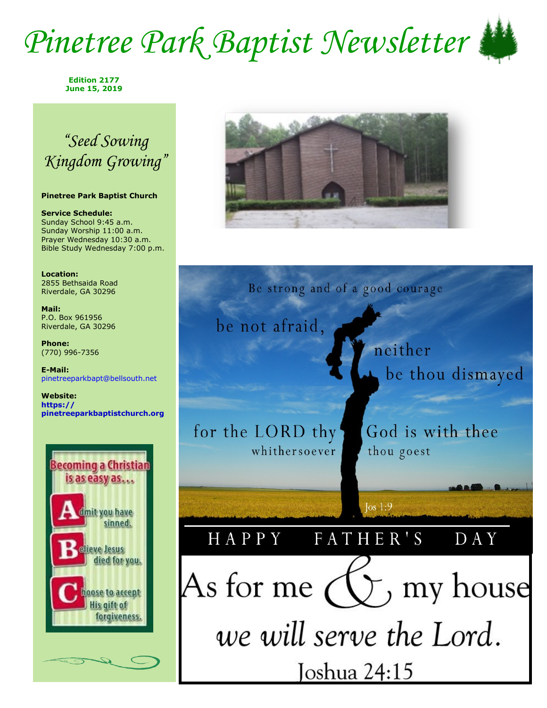## *Pinetree Park Baptist Newsletter*



**Edition 2177 June 15, 2019**

### *"Seed Sowing Kingdom Growing"*

### **Pinetree Park Baptist Church**

**Service Schedule:** Sunday School 9:45 a.m. Sunday Worship 11:00 a.m. Prayer Wednesday 10:30 a.m. Bible Study Wednesday 7:00 p.m.

**Location:**  2855 Bethsaida Road Riverdale, GA 30296

**Mail:** P.O. Box 961956 Riverdale, GA 30296

**Phone:** (770) 996-7356

**E-Mail:** pinetreeparkbapt@bellsouth.net

**Website: https:// pinetreeparkbaptistchurch.org** 





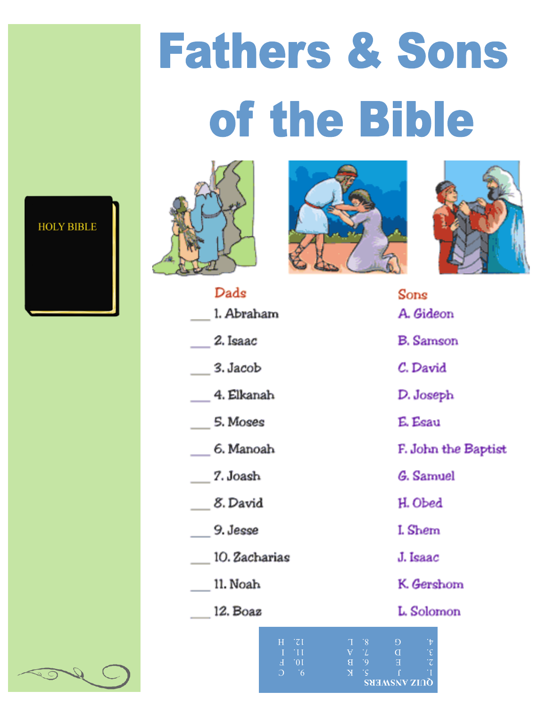# **Fathers & Sons** of the Bible







|                                                          | Sons                                                             |
|----------------------------------------------------------|------------------------------------------------------------------|
|                                                          | A. Gideon                                                        |
|                                                          | <b>B.</b> Samson                                                 |
|                                                          | C. David                                                         |
|                                                          | D. Joseph                                                        |
|                                                          | E. Esau                                                          |
|                                                          | F. John the Baptist                                              |
|                                                          | G. Samuel                                                        |
|                                                          | H. Obed                                                          |
|                                                          | I. Shem                                                          |
|                                                          | J. Isaac                                                         |
|                                                          | K. Gershom                                                       |
|                                                          | L. Solomon                                                       |
| $\begin{array}{cc}\nT & B \\ \hline\nY & L\n\end{array}$ | Đ<br>$\mathbf{t}$<br>$\cdot \epsilon$<br>$\overline{\mathrm{D}}$ |
|                                                          |                                                                  |



| Dads                              |
|-----------------------------------|
| 1. Abraham                        |
| 2. Isaac                          |
| $\_\$ 3. Jacob                    |
| 4. Elkanah                        |
| $\overline{\phantom{a}}$ 5. Moses |
| 6. Manoah                         |
| $\frac{2}{1}$ . Joash             |
| $8.$ David                        |
| $9.$ Jesse                        |
| 10. Zacharias                     |
| 11. Noah                          |
| 12. Boaz                          |

 $H$  $\overline{z_1}$ 

 $\cap$ 

 $10^{\circ}$ 

 $\overline{X}$ 

**QUIZ ANSWERS**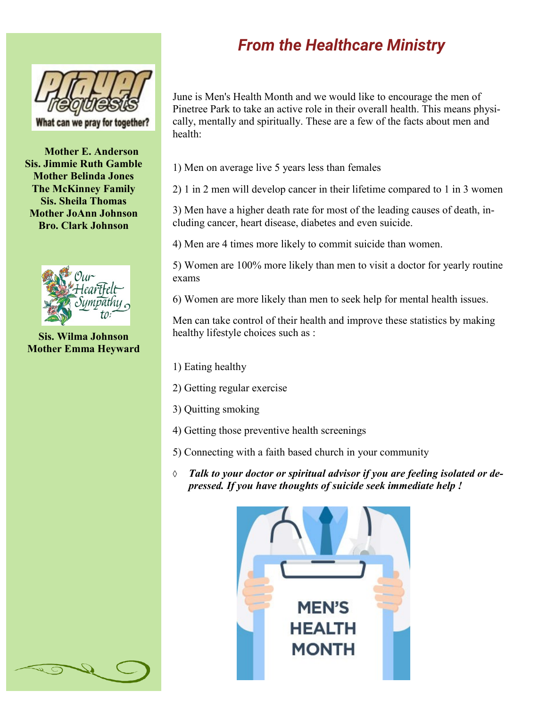

**Mother E. Anderson Sis. Jimmie Ruth Gamble Mother Belinda Jones The McKinney Family Sis. Sheila Thomas Mother JoAnn Johnson Bro. Clark Johnson**



**Sis. Wilma Johnson Mother Emma Heyward**

### *From the Healthcare Ministry*

June is Men's Health Month and we would like to encourage the men of Pinetree Park to take an active role in their overall health. This means physically, mentally and spiritually. These are a few of the facts about men and health:

- 1) Men on average live 5 years less than females
- 2) 1 in 2 men will develop cancer in their lifetime compared to 1 in 3 women

3) Men have a higher death rate for most of the leading causes of death, including cancer, heart disease, diabetes and even suicide.

4) Men are 4 times more likely to commit suicide than women.

5) Women are 100% more likely than men to visit a doctor for yearly routine exams

6) Women are more likely than men to seek help for mental health issues.

Men can take control of their health and improve these statistics by making healthy lifestyle choices such as :

- 1) Eating healthy
- 2) Getting regular exercise
- 3) Quitting smoking
- 4) Getting those preventive health screenings
- 5) Connecting with a faith based church in your community
- $\Diamond$ *Talk to your doctor or spiritual advisor if you are feeling isolated or depressed. If you have thoughts of suicide seek immediate help !*